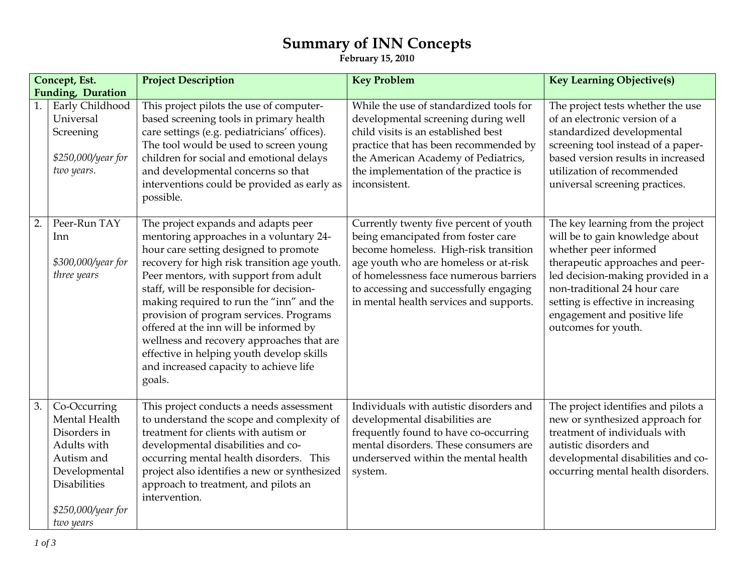## **Summary of INN Concepts**

**February 15, 2010** 

| Concept, Est.     |                                                                                                                                                       | <b>Project Description</b>                                                                                                                                                                                                                                                                                                                                                                                                                                                                                                                  | <b>Key Problem</b>                                                                                                                                                                                                                                                                            | <b>Key Learning Objective(s)</b>                                                                                                                                                                                                                                                                    |
|-------------------|-------------------------------------------------------------------------------------------------------------------------------------------------------|---------------------------------------------------------------------------------------------------------------------------------------------------------------------------------------------------------------------------------------------------------------------------------------------------------------------------------------------------------------------------------------------------------------------------------------------------------------------------------------------------------------------------------------------|-----------------------------------------------------------------------------------------------------------------------------------------------------------------------------------------------------------------------------------------------------------------------------------------------|-----------------------------------------------------------------------------------------------------------------------------------------------------------------------------------------------------------------------------------------------------------------------------------------------------|
| Funding, Duration |                                                                                                                                                       |                                                                                                                                                                                                                                                                                                                                                                                                                                                                                                                                             |                                                                                                                                                                                                                                                                                               |                                                                                                                                                                                                                                                                                                     |
|                   | Early Childhood<br>Universal<br>Screening<br>\$250,000/year for<br>two years.                                                                         | This project pilots the use of computer-<br>based screening tools in primary health<br>care settings (e.g. pediatricians' offices).<br>The tool would be used to screen young<br>children for social and emotional delays<br>and developmental concerns so that<br>interventions could be provided as early as<br>possible.                                                                                                                                                                                                                 | While the use of standardized tools for<br>developmental screening during well<br>child visits is an established best<br>practice that has been recommended by<br>the American Academy of Pediatrics,<br>the implementation of the practice is<br>inconsistent.                               | The project tests whether the use<br>of an electronic version of a<br>standardized developmental<br>screening tool instead of a paper-<br>based version results in increased<br>utilization of recommended<br>universal screening practices.                                                        |
| 2.                | Peer-Run TAY<br>Inn<br>\$300,000/year for<br>three years                                                                                              | The project expands and adapts peer<br>mentoring approaches in a voluntary 24-<br>hour care setting designed to promote<br>recovery for high risk transition age youth.<br>Peer mentors, with support from adult<br>staff, will be responsible for decision-<br>making required to run the "inn" and the<br>provision of program services. Programs<br>offered at the inn will be informed by<br>wellness and recovery approaches that are<br>effective in helping youth develop skills<br>and increased capacity to achieve life<br>goals. | Currently twenty five percent of youth<br>being emancipated from foster care<br>become homeless. High-risk transition<br>age youth who are homeless or at-risk<br>of homelessness face numerous barriers<br>to accessing and successfully engaging<br>in mental health services and supports. | The key learning from the project<br>will be to gain knowledge about<br>whether peer informed<br>therapeutic approaches and peer-<br>led decision-making provided in a<br>non-traditional 24 hour care<br>setting is effective in increasing<br>engagement and positive life<br>outcomes for youth. |
| 3.                | Co-Occurring<br>Mental Health<br>Disorders in<br>Adults with<br>Autism and<br>Developmental<br><b>Disabilities</b><br>\$250,000/year for<br>two years | This project conducts a needs assessment<br>to understand the scope and complexity of<br>treatment for clients with autism or<br>developmental disabilities and co-<br>occurring mental health disorders. This<br>project also identifies a new or synthesized<br>approach to treatment, and pilots an<br>intervention.                                                                                                                                                                                                                     | Individuals with autistic disorders and<br>developmental disabilities are<br>frequently found to have co-occurring<br>mental disorders. These consumers are<br>underserved within the mental health<br>system.                                                                                | The project identifies and pilots a<br>new or synthesized approach for<br>treatment of individuals with<br>autistic disorders and<br>developmental disabilities and co-<br>occurring mental health disorders.                                                                                       |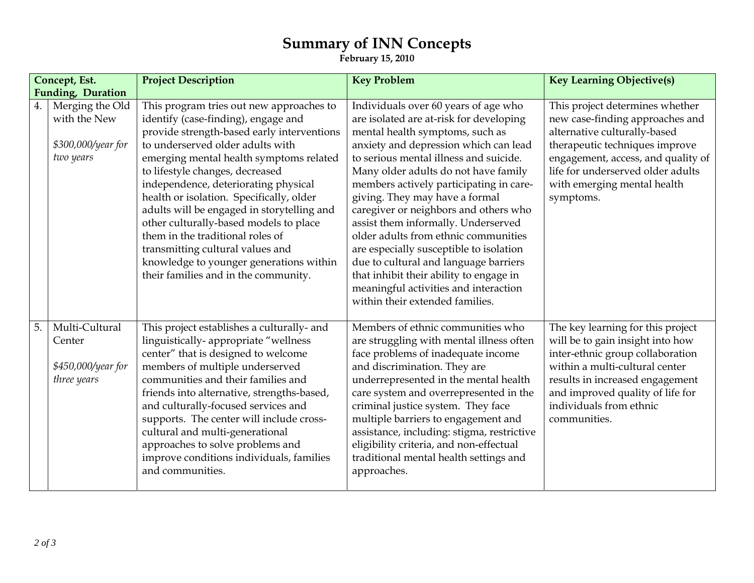## **Summary of INN Concepts**

**February 15, 2010** 

| Concept, Est.     |                                                                    | <b>Project Description</b>                                                                                                                                                                                                                                                                                                                                                                                                                                                                                                                                                             | <b>Key Problem</b>                                                                                                                                                                                                                                                                                                                                                                                                                                                                                                                                                                                                                                            | <b>Key Learning Objective(s)</b>                                                                                                                                                                                                                              |
|-------------------|--------------------------------------------------------------------|----------------------------------------------------------------------------------------------------------------------------------------------------------------------------------------------------------------------------------------------------------------------------------------------------------------------------------------------------------------------------------------------------------------------------------------------------------------------------------------------------------------------------------------------------------------------------------------|---------------------------------------------------------------------------------------------------------------------------------------------------------------------------------------------------------------------------------------------------------------------------------------------------------------------------------------------------------------------------------------------------------------------------------------------------------------------------------------------------------------------------------------------------------------------------------------------------------------------------------------------------------------|---------------------------------------------------------------------------------------------------------------------------------------------------------------------------------------------------------------------------------------------------------------|
| Funding, Duration |                                                                    |                                                                                                                                                                                                                                                                                                                                                                                                                                                                                                                                                                                        |                                                                                                                                                                                                                                                                                                                                                                                                                                                                                                                                                                                                                                                               |                                                                                                                                                                                                                                                               |
| 4.                | Merging the Old<br>with the New<br>\$300,000/year for<br>two years | This program tries out new approaches to<br>identify (case-finding), engage and<br>provide strength-based early interventions<br>to underserved older adults with<br>emerging mental health symptoms related<br>to lifestyle changes, decreased<br>independence, deteriorating physical<br>health or isolation. Specifically, older<br>adults will be engaged in storytelling and<br>other culturally-based models to place<br>them in the traditional roles of<br>transmitting cultural values and<br>knowledge to younger generations within<br>their families and in the community. | Individuals over 60 years of age who<br>are isolated are at-risk for developing<br>mental health symptoms, such as<br>anxiety and depression which can lead<br>to serious mental illness and suicide.<br>Many older adults do not have family<br>members actively participating in care-<br>giving. They may have a formal<br>caregiver or neighbors and others who<br>assist them informally. Underserved<br>older adults from ethnic communities<br>are especially susceptible to isolation<br>due to cultural and language barriers<br>that inhibit their ability to engage in<br>meaningful activities and interaction<br>within their extended families. | This project determines whether<br>new case-finding approaches and<br>alternative culturally-based<br>therapeutic techniques improve<br>engagement, access, and quality of<br>life for underserved older adults<br>with emerging mental health<br>symptoms.   |
| 5.                | Multi-Cultural<br>Center<br>\$450,000/year for<br>three years      | This project establishes a culturally- and<br>linguistically-appropriate "wellness<br>center" that is designed to welcome<br>members of multiple underserved<br>communities and their families and<br>friends into alternative, strengths-based,<br>and culturally-focused services and<br>supports. The center will include cross-<br>cultural and multi-generational<br>approaches to solve problems and<br>improve conditions individuals, families<br>and communities.                                                                                                             | Members of ethnic communities who<br>are struggling with mental illness often<br>face problems of inadequate income<br>and discrimination. They are<br>underrepresented in the mental health<br>care system and overrepresented in the<br>criminal justice system. They face<br>multiple barriers to engagement and<br>assistance, including: stigma, restrictive<br>eligibility criteria, and non-effectual<br>traditional mental health settings and<br>approaches.                                                                                                                                                                                         | The key learning for this project<br>will be to gain insight into how<br>inter-ethnic group collaboration<br>within a multi-cultural center<br>results in increased engagement<br>and improved quality of life for<br>individuals from ethnic<br>communities. |